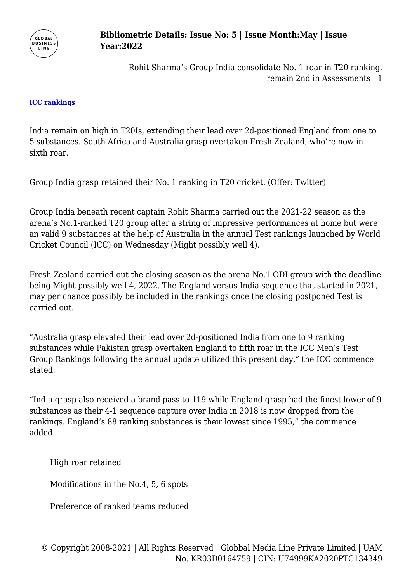

## **Bibliometric Details: Issue No: 5 | Issue Month:May | Issue Year:2022**

Rohit Sharma's Group India consolidate No. 1 roar in T20 ranking, remain 2nd in Assessments | 1

## **[ICC rankings](http://zeenews.india.com/tags/icc-rankings.html)**

India remain on high in T20Is, extending their lead over 2d-positioned England from one to 5 substances. South Africa and Australia grasp overtaken Fresh Zealand, who're now in sixth roar.

Group India grasp retained their No. 1 ranking in T20 cricket. (Offer: Twitter)

Group India beneath recent captain Rohit Sharma carried out the 2021-22 season as the arena's No.1-ranked T20 group after a string of impressive performances at home but were an valid 9 substances at the help of Australia in the annual Test rankings launched by World Cricket Council (ICC) on Wednesday (Might possibly well 4).

Fresh Zealand carried out the closing season as the arena No.1 ODI group with the deadline being Might possibly well 4, 2022. The England versus India sequence that started in 2021, may per chance possibly be included in the rankings once the closing postponed Test is carried out.

"Australia grasp elevated their lead over 2d-positioned India from one to 9 ranking substances while Pakistan grasp overtaken England to fifth roar in the ICC Men's Test Group Rankings following the annual update utilized this present day," the ICC commence stated.

"India grasp also received a brand pass to 119 while England grasp had the finest lower of 9 substances as their 4-1 sequence capture over India in 2018 is now dropped from the rankings. England's 88 ranking substances is their lowest since 1995," the commence added.

High roar retained

Modifications in the No.4, 5, 6 spots

Preference of ranked teams reduced